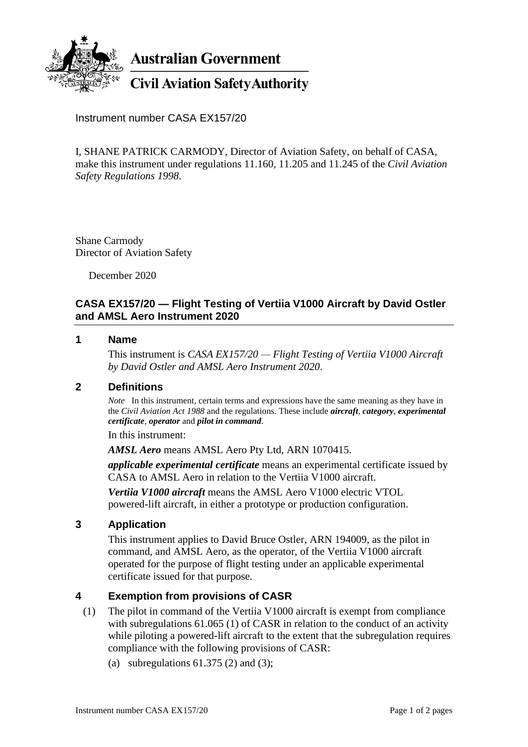

**Australian Government** 

# **Civil Aviation Safety Authority**

Instrument number CASA EX157/20

I, SHANE PATRICK CARMODY, Director of Aviation Safety, on behalf of CASA, make this instrument under regulations 11.160, 11.205 and 11.245 of the *Civil Aviation Safety Regulations 1998*.

Shane Carmody Director of Aviation Safety

December 2020

# **CASA EX157/20 — Flight Testing of Vertiia V1000 Aircraft by David Ostler and AMSL Aero Instrument 2020**

#### **1 Name**

This instrument is *CASA EX157/20 — Flight Testing of Vertiia V1000 Aircraft by David Ostler and AMSL Aero Instrument 2020*.

### **2 Definitions**

*Note* In this instrument, certain terms and expressions have the same meaning as they have in the *Civil Aviation Act 1988* and the regulations. These include *aircraft, category*, *experimental certificate*, *operator* and *pilot in command*.

In this instrument:

*AMSL Aero* means AMSL Aero Pty Ltd, ARN 1070415.

*applicable experimental certificate* means an experimental certificate issued by CASA to AMSL Aero in relation to the Vertiia V1000 aircraft.

*Vertiia V1000 aircraft* means the AMSL Aero V1000 electric VTOL powered-lift aircraft, in either a prototype or production configuration.

### **3 Application**

This instrument applies to David Bruce Ostler, ARN 194009, as the pilot in command, and AMSL Aero, as the operator, of the Vertiia V1000 aircraft operated for the purpose of flight testing under an applicable experimental certificate issued for that purpose.

### **4 Exemption from provisions of CASR**

- (1) The pilot in command of the Vertiia V1000 aircraft is exempt from compliance with subregulations 61.065 (1) of CASR in relation to the conduct of an activity while piloting a powered-lift aircraft to the extent that the subregulation requires compliance with the following provisions of CASR:
	- (a) subregulations  $61.375$  (2) and (3);